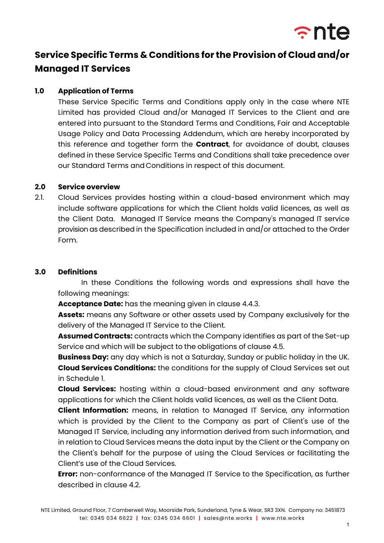

# **Service Specific Terms & Conditions for the Provision of Cloud and/or Managed IT Services**

## **1.0 Application of Terms**

These Service Specific Terms and Conditions apply only in the case where NTE Limited has provided Cloud and/or Managed IT Services to the Client and are entered into pursuant to the Standard Terms and Conditions, Fair and Acceptable Usage Policy and Data Processing Addendum, which are hereby incorporated by this reference and together form the **Contract**, for avoidance of doubt, clauses defined in these Service Specific Terms and Conditions shall take precedence over our Standard Terms and Conditions in respect of this document.

#### **2.0 Service overview**

2.1. Cloud Services provides hosting within a cloud-based environment which may include software applications for which the Client holds valid licences, as well as the Client Data. Managed IT Service means the Company's managed IT service provision as described in the Specification included in and/or attached to the Order Form.

## **3.0 Definitions**

In these Conditions the following words and expressions shall have the following meanings:

**Acceptance Date:** has the meaning given in clause 4.4.3.

**Assets:** means any Software or other assets used by Company exclusively for the delivery of the Managed IT Service to the Client.

**Assumed Contracts:** contracts which the Company identifies as part of the Set-up Service and which will be subject to the obligations of clause 4.5.

**Business Day:** any day which is not a Saturday, Sunday or public holiday in the UK. **Cloud Services Conditions:** the conditions for the supply of Cloud Services set out in Schedule 1.

**Cloud Services:** hosting within a cloud-based environment and any software applications for which the Client holds valid licences, as well as the Client Data.

**Client Information:** means, in relation to Managed IT Service, any information which is provided by the Client to the Company as part of Client's use of the Managed IT Service, including any information derived from such information, and in relation to Cloud Services means the data input by the Client or the Company on the Client's behalf for the purpose of using the Cloud Services or facilitating the Client's use of the Cloud Services.

**Error:** non-conformance of the Managed IT Service to the Specification, as further described in clause 4.2.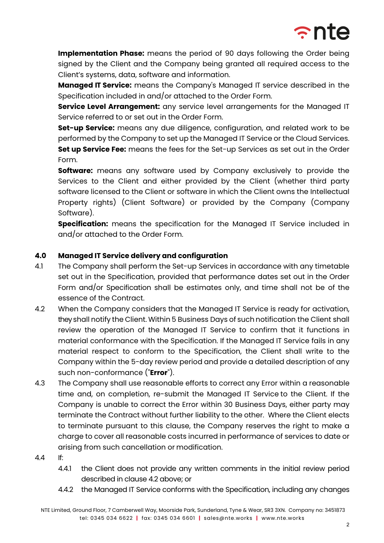

**Implementation Phase:** means the period of 90 days following the Order being signed by the Client and the Company being granted all required access to the Client's systems, data, software and information.

**Managed IT Service:** means the Company's Managed IT service described in the Specification included in and/or attached to the Order Form.

**Service Level Arrangement:** any service level arrangements for the Managed IT Service referred to or set out in the Order Form.

**Set-up Service:** means any due diligence, configuration, and related work to be performed by the Company to set up the Managed IT Service or the Cloud Services. **Set up Service Fee:** means the fees for the Set-up Services as set out in the Order Form.

**Software:** means any software used by Company exclusively to provide the Services to the Client and either provided by the Client (whether third party software licensed to the Client or software in which the Client owns the Intellectual Property rights) (Client Software) or provided by the Company (Company Software).

**Specification:** means the specification for the Managed IT Service included in and/or attached to the Order Form.

## **4.0 Managed IT Service delivery and configuration**

- 4.1 The Company shall perform the Set-up Services in accordance with any timetable set out in the Specification, provided that performance dates set out in the Order Form and/or Specification shall be estimates only, and time shall not be of the essence of the Contract.
- 4.2 When the Company considers that the Managed IT Service is ready for activation, theyshall notify the Client. Within 5 Business Days of such notification the Client shall review the operation of the Managed IT Service to confirm that it functions in material conformance with the Specification. If the Managed IT Service fails in any material respect to conform to the Specification, the Client shall write to the Company within the 5-day review period and provide a detailed description of any such non-conformance ("**Error**").
- 4.3 The Company shall use reasonable efforts to correct any Error within a reasonable time and, on completion, re-submit the Managed IT Service to the Client. If the Company is unable to correct the Error within 30 Business Days, either party may terminate the Contract without further liability to the other. Where the Client elects to terminate pursuant to this clause, the Company reserves the right to make a charge to cover all reasonable costs incurred in performance of services to date or arising from such cancellation or modification.
- 4.4 If:
	- 4.4.1 the Client does not provide any written comments in the initial review period described in clause 4.2 above; or
	- 4.4.2 the Managed IT Service conforms with the Specification, including any changes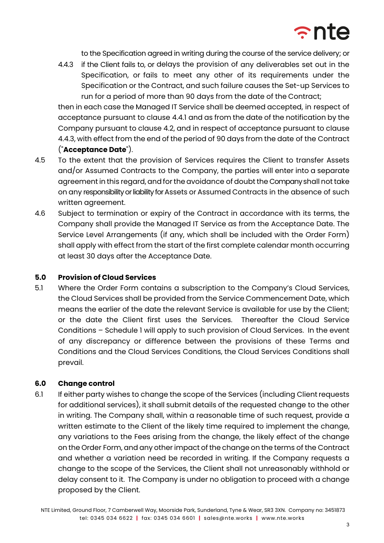

to the Specification agreed in writing during the course of the service delivery; or

4.4.3 if the Client fails to, or delays the provision of any deliverables set out in the Specification, or fails to meet any other of its requirements under the Specification or the Contract, and such failure causes the Set-up Services to run for a period of more than 90 days from the date of the Contract;

then in each case the Managed IT Service shall be deemed accepted, in respect of acceptance pursuant to clause 4.4.1 and as from the date of the notification by the Company pursuant to clause 4.2, and in respect of acceptance pursuant to clause 4.4.3, with effect from the end of the period of 90 days from the date of the Contract ("**Acceptance Date**").

- 4.5 To the extent that the provision of Services requires the Client to transfer Assets and/or Assumed Contracts to the Company, the parties will enter into a separate agreement in this regard, and for the avoidance of doubt the Company shall not take on any responsibility or liability for Assets or Assumed Contracts in the absence of such written agreement.
- 4.6 Subject to termination or expiry of the Contract in accordance with its terms, the Company shall provide the Managed IT Service as from the Acceptance Date. The Service Level Arrangements (if any, which shall be included with the Order Form) shall apply with effect from the start of the first complete calendar month occurring at least 30 days after the Acceptance Date.

## **5.0 Provision of Cloud Services**

5.1 Where the Order Form contains a subscription to the Company's Cloud Services, the Cloud Services shall be provided from the Service Commencement Date, which means the earlier of the date the relevant Service is available for use by the Client; or the date the Client first uses the Services. Thereafter the Cloud Service Conditions – Schedule 1 will apply to such provision of Cloud Services. In the event of any discrepancy or difference between the provisions of these Terms and Conditions and the Cloud Services Conditions, the Cloud Services Conditions shall prevail.

## **6.0 Change control**

6.1 If either party wishes to change the scope of the Services (including Client requests for additional services), it shall submit details of the requested change to the other in writing. The Company shall, within a reasonable time of such request, provide a written estimate to the Client of the likely time required to implement the change, any variations to the Fees arising from the change, the likely effect of the change on the Order Form, and any other impact of the change on the terms of the Contract and whether a variation need be recorded in writing. If the Company requests a change to the scope of the Services, the Client shall not unreasonably withhold or delay consent to it. The Company is under no obligation to proceed with a change proposed by the Client.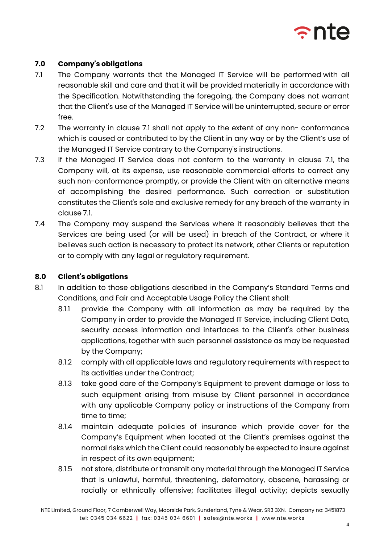

## **7.0 Company's obligations**

- 7.1 The Company warrants that the Managed IT Service will be performed with all reasonable skill and care and that it will be provided materially in accordance with the Specification. Notwithstanding the foregoing, the Company does not warrant that the Client's use of the Managed IT Service will be uninterrupted, secure or error free.
- 7.2 The warranty in clause 7.1 shall not apply to the extent of any non- conformance which is caused or contributed to by the Client in any way or by the Client's use of the Managed IT Service contrary to the Company's instructions.
- 7.3 If the Managed IT Service does not conform to the warranty in clause 7.1, the Company will, at its expense, use reasonable commercial efforts to correct any such non-conformance promptly, or provide the Client with an alternative means of accomplishing the desired performance. Such correction or substitution constitutes the Client's sole and exclusive remedy for any breach of the warranty in clause 7.1.
- 7.4 The Company may suspend the Services where it reasonably believes that the Services are being used (or will be used) in breach of the Contract, or where it believes such action is necessary to protect its network, other Clients or reputation or to comply with any legal or regulatory requirement.

## **8.0 Client's obligations**

- 8.1 In addition to those obligations described in the Company's Standard Terms and Conditions, and Fair and Acceptable Usage Policy the Client shall:
	- 8.1.1 provide the Company with all information as may be required by the Company in order to provide the Managed IT Service, including Client Data, security access information and interfaces to the Client's other business applications, together with such personnel assistance as may be requested by the Company;
	- 8.1.2 comply with all applicable laws and regulatory requirements with respect to its activities under the Contract;
	- 8.1.3 take good care of the Company's Equipment to prevent damage or loss to such equipment arising from misuse by Client personnel in accordance with any applicable Company policy or instructions of the Company from time to time;
	- 8.1.4 maintain adequate policies of insurance which provide cover for the Company's Equipment when located at the Client's premises against the normal risks which the Client could reasonably be expected to insure against in respect of its own equipment;
	- 8.1.5 not store, distribute or transmit any material through the Managed IT Service that is unlawful, harmful, threatening, defamatory, obscene, harassing or racially or ethnically offensive; facilitates illegal activity; depicts sexually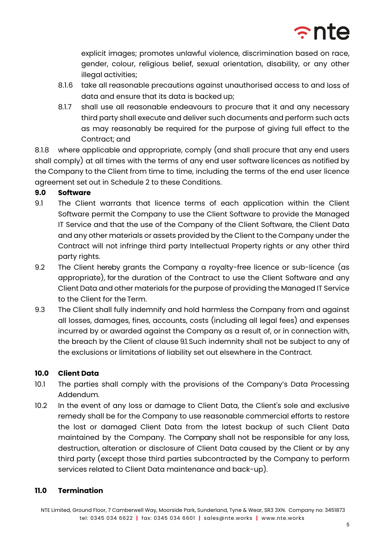

explicit images; promotes unlawful violence, discrimination based on race, gender, colour, religious belief, sexual orientation, disability, or any other illegal activities;

- 8.1.6 take all reasonable precautions against unauthorised access to and loss of data and ensure that its data is backed up;
- 8.1.7 shall use all reasonable endeavours to procure that it and any necessary third party shall execute and deliver such documents and perform such acts as may reasonably be required for the purpose of giving full effect to the Contract; and

8.1.8 where applicable and appropriate, comply (and shall procure that any end users shall comply) at all times with the terms of any end user software licences as notified by the Company to the Client from time to time, including the terms of the end user licence agreement set out in Schedule 2 to these Conditions.

# **9.0 Software**

- 9.1 The Client warrants that licence terms of each application within the Client Software permit the Company to use the Client Software to provide the Managed IT Service and that the use of the Company of the Client Software, the Client Data and any other materials or assets provided by the Client to the Company under the Contract will not infringe third party Intellectual Property rights or any other third party rights.
- 9.2 The Client hereby grants the Company a royalty-free licence or sub-licence (as appropriate), for the duration of the Contract to use the Client Software and any Client Data and other materials for the purpose of providing the Managed IT Service to the Client for the Term.
- 9.3 The Client shall fully indemnify and hold harmless the Company from and against all losses, damages, fines, accounts, costs (including all legal fees) and expenses incurred by or awarded against the Company as a result of, or in connection with, the breach by the Client of clause 9.1. Such indemnity shall not be subject to any of the exclusions or limitations of liability set out elsewhere in the Contract.

# **10.0 Client Data**

- 10.1 The parties shall comply with the provisions of the Company's Data Processing Addendum.
- 10.2 In the event of any loss or damage to Client Data, the Client's sole and exclusive remedy shall be for the Company to use reasonable commercial efforts to restore the lost or damaged Client Data from the latest backup of such Client Data maintained by the Company. The Company shall not be responsible for any loss, destruction, alteration or disclosure of Client Data caused by the Client or by any third party (except those third parties subcontracted by the Company to perform services related to Client Data maintenance and back-up).

# **11.0 Termination**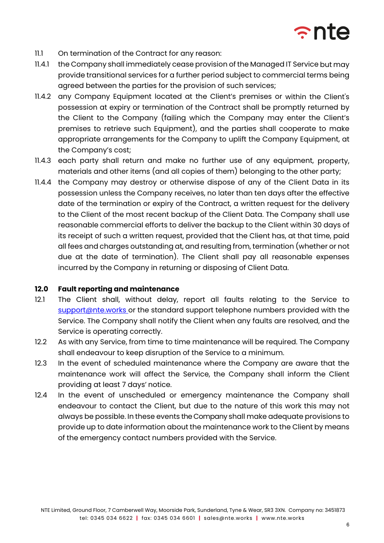

- 11.1 On termination of the Contract for any reason:
- 11.4.1 the Company shall immediately cease provision of the Managed IT Service but may provide transitional services for a further period subject to commercial terms being agreed between the parties for the provision of such services;
- 11.4.2 any Company Equipment located at the Client's premises or within the Client's possession at expiry or termination of the Contract shall be promptly returned by the Client to the Company (failing which the Company may enter the Client's premises to retrieve such Equipment), and the parties shall cooperate to make appropriate arrangements for the Company to uplift the Company Equipment, at the Company's cost;
- 11.4.3 each party shall return and make no further use of any equipment, property, materials and other items (and all copies of them) belonging to the other party;
- 11.4.4 the Company may destroy or otherwise dispose of any of the Client Data in its possession unless the Company receives, no later than ten days after the effective date of the termination or expiry of the Contract, a written request for the delivery to the Client of the most recent backup of the Client Data. The Company shall use reasonable commercial efforts to deliver the backup to the Client within 30 days of its receipt of such a written request, provided that the Client has, at that time, paid all fees and charges outstanding at, and resulting from, termination (whether or not due at the date of termination). The Client shall pay all reasonable expenses incurred by the Company in returning or disposing of Client Data.

#### **12.0 Fault reporting and maintenance**

- 12.1 The Client shall, without delay, report all faults relating to the Service to support@nte.works or the standard support telephone numbers provided with the Service. The Company shall notify the Client when any faults are resolved, and the Service is operating correctly.
- 12.2 As with any Service, from time to time maintenance will be required. The Company shall endeavour to keep disruption of the Service to a minimum.
- 12.3 In the event of scheduled maintenance where the Company are aware that the maintenance work will affect the Service, the Company shall inform the Client providing at least 7 days' notice.
- 12.4 In the event of unscheduled or emergency maintenance the Company shall endeavour to contact the Client, but due to the nature of this work this may not always be possible. In these events the Company shall make adequate provisions to provide up to date information about the maintenance work to the Client by means of the emergency contact numbers provided with the Service.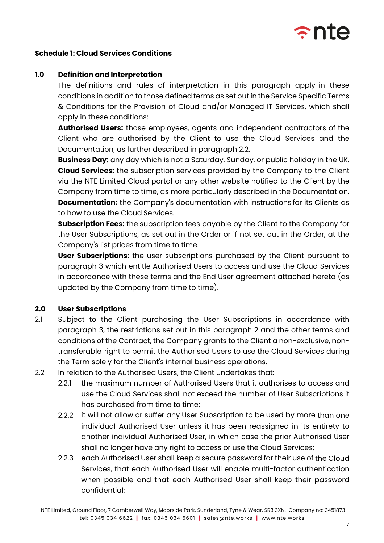

## **Schedule 1: Cloud Services Conditions**

#### **1.0 Definition and Interpretation**

The definitions and rules of interpretation in this paragraph apply in these conditions in addition to those defined terms as set out in the Service Specific Terms & Conditions for the Provision of Cloud and/or Managed IT Services, which shall apply in these conditions:

**Authorised Users:** those employees, agents and independent contractors of the Client who are authorised by the Client to use the Cloud Services and the Documentation, as further described in paragraph 2.2.

**Business Day:** any day which is not a Saturday, Sunday, or public holiday in the UK. **Cloud Services:** the subscription services provided by the Company to the Client via the NTE Limited Cloud portal or any other website notified to the Client by the Company from time to time, as more particularly described in the Documentation. **Documentation:** the Company's documentation with instructions for its Clients as to how to use the Cloud Services.

**Subscription Fees:** the subscription fees payable by the Client to the Company for the User Subscriptions, as set out in the Order or if not set out in the Order, at the Company's list prices from time to time.

**User Subscriptions:** the user subscriptions purchased by the Client pursuant to paragraph 3 which entitle Authorised Users to access and use the Cloud Services in accordance with these terms and the End User agreement attached hereto (as updated by the Company from time to time).

#### **2.0 User Subscriptions**

- 2.1 Subject to the Client purchasing the User Subscriptions in accordance with paragraph 3, the restrictions set out in this paragraph 2 and the other terms and conditions of the Contract, the Company grants to the Client a non-exclusive, nontransferable right to permit the Authorised Users to use the Cloud Services during the Term solely for the Client's internal business operations.
- 2.2 In relation to the Authorised Users, the Client undertakes that:
	- 2.2.1 the maximum number of Authorised Users that it authorises to access and use the Cloud Services shall not exceed the number of User Subscriptions it has purchased from time to time;
	- 2.2.2 it will not allow or suffer any User Subscription to be used by more than one individual Authorised User unless it has been reassigned in its entirety to another individual Authorised User, in which case the prior Authorised User shall no longer have any right to access or use the Cloud Services;
	- 2.2.3 each Authorised User shall keep a secure password for their use of the Cloud Services, that each Authorised User will enable multi-factor authentication when possible and that each Authorised User shall keep their password confidential;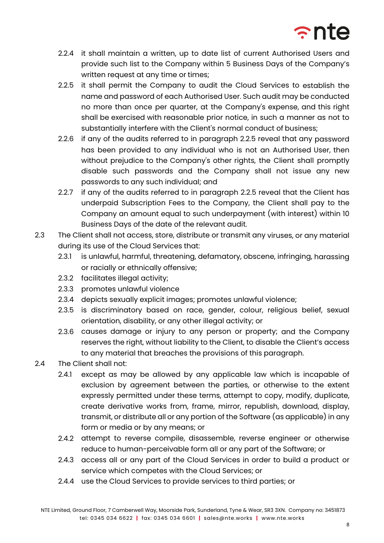

- 2.2.4 it shall maintain a written, up to date list of current Authorised Users and provide such list to the Company within 5 Business Days of the Company's written request at any time or times;
- 2.2.5 it shall permit the Company to audit the Cloud Services to establish the name and password of each Authorised User. Such audit may be conducted no more than once per quarter, at the Company's expense, and this right shall be exercised with reasonable prior notice, in such a manner as not to substantially interfere with the Client's normal conduct of business;
- 2.2.6 if any of the audits referred to in paragraph 2.2.5 reveal that any password has been provided to any individual who is not an Authorised User, then without prejudice to the Company's other rights, the Client shall promptly disable such passwords and the Company shall not issue any new passwords to any such individual; and
- 2.2.7 if any of the audits referred to in paragraph 2.2.5 reveal that the Client has underpaid Subscription Fees to the Company, the Client shall pay to the Company an amount equal to such underpayment (with interest) within 10 Business Days of the date of the relevant audit.
- 2.3 The Client shall not access, store, distribute or transmit any viruses, or any material during its use of the Cloud Services that:
	- 2.3.1 is unlawful, harmful, threatening, defamatory, obscene, infringing, harassing or racially or ethnically offensive;
	- 2.3.2 facilitates illegal activity;
	- 2.3.3 promotes unlawful violence
	- 2.3.4 depicts sexually explicit images; promotes unlawful violence;
	- 2.3.5 is discriminatory based on race, gender, colour, religious belief, sexual orientation, disability, or any other illegal activity; or
	- 2.3.6 causes damage or injury to any person or property; and the Company reserves the right, without liability to the Client, to disable the Client's access to any material that breaches the provisions of this paragraph.
- 2.4 The Client shall not:
	- 2.4.1 except as may be allowed by any applicable law which is incapable of exclusion by agreement between the parties, or otherwise to the extent expressly permitted under these terms, attempt to copy, modify, duplicate, create derivative works from, frame, mirror, republish, download, display, transmit, or distribute all or any portion of the Software (as applicable) in any form or media or by any means; or
	- 2.4.2 attempt to reverse compile, disassemble, reverse engineer or otherwise reduce to human-perceivable form all or any part of the Software; or
	- 2.4.3 access all or any part of the Cloud Services in order to build a product or service which competes with the Cloud Services; or
	- 2.4.4 use the Cloud Services to provide services to third parties; or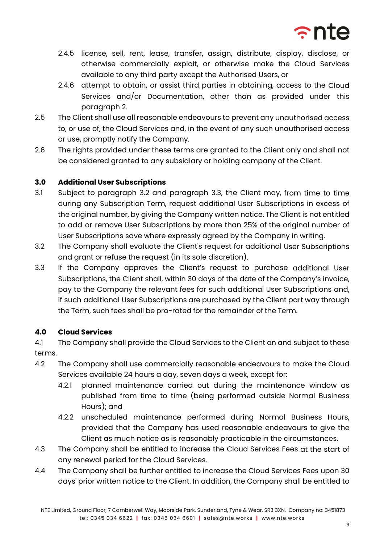

- 2.4.5 license, sell, rent, lease, transfer, assign, distribute, display, disclose, or otherwise commercially exploit, or otherwise make the Cloud Services available to any third party except the Authorised Users, or
- 2.4.6 attempt to obtain, or assist third parties in obtaining, access to the Cloud Services and/or Documentation, other than as provided under this paragraph 2.
- 2.5 The Client shall use all reasonable endeavours to prevent any unauthorised access to, or use of, the Cloud Services and, in the event of any such unauthorised access or use, promptly notify the Company.
- 2.6 The rights provided under these terms are granted to the Client only and shall not be considered granted to any subsidiary or holding company of the Client.

## **3.0 Additional User Subscriptions**

- 3.1 Subject to paragraph 3.2 and paragraph 3.3, the Client may, from time to time during any Subscription Term, request additional User Subscriptions in excess of the original number, by giving the Company written notice. The Client is not entitled to add or remove User Subscriptions by more than 25% of the original number of User Subscriptions save where expressly agreed by the Company in writing.
- 3.2 The Company shall evaluate the Client's request for additional User Subscriptions and grant or refuse the request (in its sole discretion).
- 3.3 If the Company approves the Client's request to purchase additional User Subscriptions, the Client shall, within 30 days of the date of the Company's invoice, pay to the Company the relevant fees for such additional User Subscriptions and, if such additional User Subscriptions are purchased by the Client part way through the Term, such fees shall be pro-rated for the remainder of the Term.

## **4.0 Cloud Services**

4.1 The Company shall provide the Cloud Services to the Client on and subject to these terms.

- 4.2 The Company shall use commercially reasonable endeavours to make the Cloud Services available 24 hours a day, seven days a week, except for:
	- 4.2.1 planned maintenance carried out during the maintenance window as published from time to time (being performed outside Normal Business Hours); and
	- 4.2.2 unscheduled maintenance performed during Normal Business Hours, provided that the Company has used reasonable endeavours to give the Client as much notice as is reasonably practicablein the circumstances.
- 4.3 The Company shall be entitled to increase the Cloud Services Fees at the start of any renewal period for the Cloud Services.
- 4.4 The Company shall be further entitled to increase the Cloud Services Fees upon 30 days' prior written notice to the Client. In addition, the Company shall be entitled to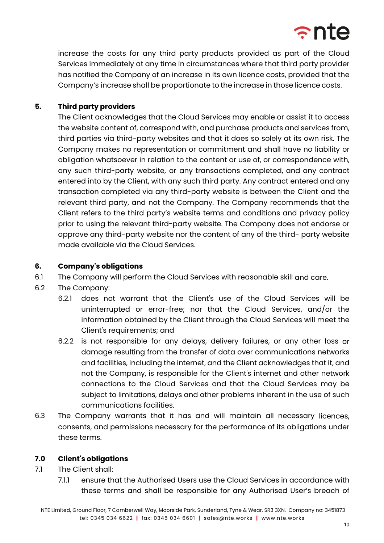

increase the costs for any third party products provided as part of the Cloud Services immediately at any time in circumstances where that third party provider has notified the Company of an increase in its own licence costs, provided that the Company's increase shall be proportionate to the increase in those licence costs.

## **5. Third party providers**

The Client acknowledges that the Cloud Services may enable or assist it to access the website content of, correspond with, and purchase products and services from, third parties via third-party websites and that it does so solely at its own risk. The Company makes no representation or commitment and shall have no liability or obligation whatsoever in relation to the content or use of, or correspondence with, any such third-party website, or any transactions completed, and any contract entered into by the Client, with any such third party. Any contract entered and any transaction completed via any third-party website is between the Client and the relevant third party, and not the Company. The Company recommends that the Client refers to the third party's website terms and conditions and privacy policy prior to using the relevant third-party website. The Company does not endorse or approve any third-party website nor the content of any of the third- party website made available via the Cloud Services.

## **6. Company's obligations**

- 6.1 The Company will perform the Cloud Services with reasonable skill and care.
- 6.2 The Company:
	- 6.2.1 does not warrant that the Client's use of the Cloud Services will be uninterrupted or error-free; nor that the Cloud Services, and/or the information obtained by the Client through the Cloud Services will meet the Client's requirements; and
	- 6.2.2 is not responsible for any delays, delivery failures, or any other loss or damage resulting from the transfer of data over communications networks and facilities, including the internet, and the Client acknowledges that it, and not the Company, is responsible for the Client's internet and other network connections to the Cloud Services and that the Cloud Services may be subject to limitations, delays and other problems inherent in the use of such communications facilities.
- 6.3 The Company warrants that it has and will maintain all necessary licences, consents, and permissions necessary for the performance of its obligations under these terms.

## **7.0 Client's obligations**

- 7.1 The Client shall:
	- 7.1.1 ensure that the Authorised Users use the Cloud Services in accordance with these terms and shall be responsible for any Authorised User's breach of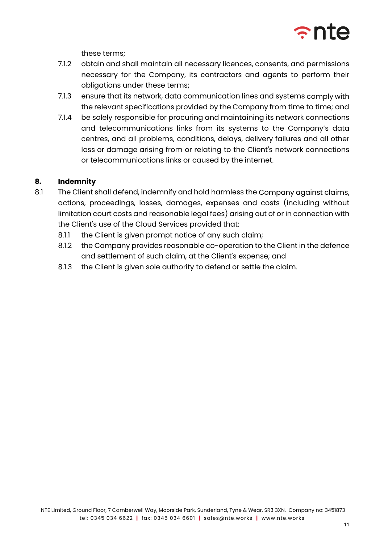

these terms;

- 7.1.2 obtain and shall maintain all necessary licences, consents, and permissions necessary for the Company, its contractors and agents to perform their obligations under these terms;
- 7.1.3 ensure that its network, data communication lines and systems comply with the relevant specifications provided by the Company from time to time; and
- 7.1.4 be solely responsible for procuring and maintaining its network connections and telecommunications links from its systems to the Company's data centres, and all problems, conditions, delays, delivery failures and all other loss or damage arising from or relating to the Client's network connections or telecommunications links or caused by the internet.

# **8. Indemnity**

- 8.1 The Client shall defend, indemnify and hold harmless the Company against claims, actions, proceedings, losses, damages, expenses and costs (including without limitation court costs and reasonable legal fees) arising out of or in connection with the Client's use of the Cloud Services provided that:
	- 8.1.1 the Client is given prompt notice of any such claim;
	- 8.1.2 the Company provides reasonable co-operation to the Client in the defence and settlement of such claim, at the Client's expense; and
	- 8.1.3 the Client is given sole authority to defend or settle the claim.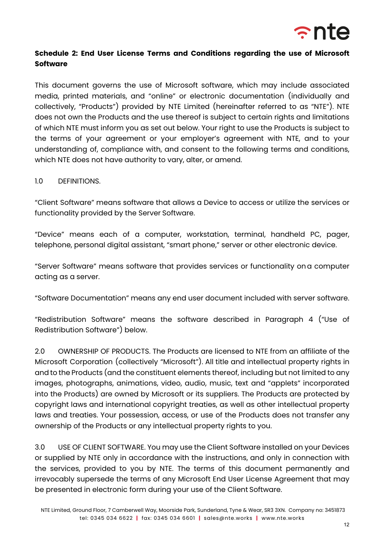

# **Schedule 2: End User License Terms and Conditions regarding the use of Microsoft Software**

This document governs the use of Microsoft software, which may include associated media, printed materials, and "online" or electronic documentation (individually and collectively, "Products") provided by NTE Limited (hereinafter referred to as "NTE"). NTE does not own the Products and the use thereof is subject to certain rights and limitations of which NTE must inform you as set out below. Your right to use the Products is subject to the terms of your agreement or your employer's agreement with NTE, and to your understanding of, compliance with, and consent to the following terms and conditions, which NTE does not have authority to vary, alter, or amend.

## 1.0 DEFINITIONS.

"Client Software" means software that allows a Device to access or utilize the services or functionality provided by the Server Software.

"Device" means each of a computer, workstation, terminal, handheld PC, pager, telephone, personal digital assistant, "smart phone," server or other electronic device.

"Server Software" means software that provides services or functionality ona computer acting as a server.

"Software Documentation" means any end user document included with server software.

"Redistribution Software" means the software described in Paragraph 4 ("Use of Redistribution Software") below.

2.0 OWNERSHIP OF PRODUCTS. The Products are licensed to NTE from an affiliate of the Microsoft Corporation (collectively "Microsoft"). All title and intellectual property rights in and to the Products (and the constituent elements thereof, including but not limited to any images, photographs, animations, video, audio, music, text and "applets" incorporated into the Products) are owned by Microsoft or its suppliers. The Products are protected by copyright laws and international copyright treaties, as well as other intellectual property laws and treaties. Your possession, access, or use of the Products does not transfer any ownership of the Products or any intellectual property rights to you.

3.0 USE OF CLIENT SOFTWARE. You may use the Client Software installed on your Devices or supplied by NTE only in accordance with the instructions, and only in connection with the services, provided to you by NTE. The terms of this document permanently and irrevocably supersede the terms of any Microsoft End User License Agreement that may be presented in electronic form during your use of the Client Software.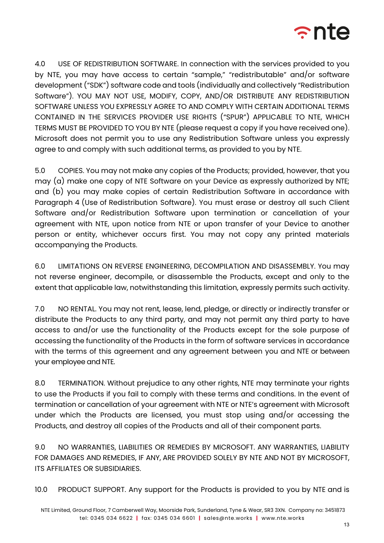

4.0 USE OF REDISTRIBUTION SOFTWARE. In connection with the services provided to you by NTE, you may have access to certain "sample," "redistributable" and/or software development ("SDK") software code and tools (individually and collectively "Redistribution Software"). YOU MAY NOT USE, MODIFY, COPY, AND/OR DISTRIBUTE ANY REDISTRIBUTION SOFTWARE UNLESS YOU EXPRESSLY AGREE TO AND COMPLY WITH CERTAIN ADDITIONAL TERMS CONTAINED IN THE SERVICES PROVIDER USE RIGHTS ("SPUR") APPLICABLE TO NTE, WHICH TERMS MUST BE PROVIDED TO YOU BY NTE (please request a copy if you have received one). Microsoft does not permit you to use any Redistribution Software unless you expressly agree to and comply with such additional terms, as provided to you by NTE.

5.0 COPIES. You may not make any copies of the Products; provided, however, that you may (a) make one copy of NTE Software on your Device as expressly authorized by NTE; and (b) you may make copies of certain Redistribution Software in accordance with Paragraph 4 (Use of Redistribution Software). You must erase or destroy all such Client Software and/or Redistribution Software upon termination or cancellation of your agreement with NTE, upon notice from NTE or upon transfer of your Device to another person or entity, whichever occurs first. You may not copy any printed materials accompanying the Products.

6.0 LIMITATIONS ON REVERSE ENGINEERING, DECOMPILATION AND DISASSEMBLY. You may not reverse engineer, decompile, or disassemble the Products, except and only to the extent that applicable law, notwithstanding this limitation, expressly permits such activity.

7.0 NO RENTAL. You may not rent, lease, lend, pledge, or directly or indirectly transfer or distribute the Products to any third party, and may not permit any third party to have access to and/or use the functionality of the Products except for the sole purpose of accessing the functionality of the Products in the form of software services in accordance with the terms of this agreement and any agreement between you and NTE or between your employee and NTE.

8.0 TERMINATION. Without prejudice to any other rights, NTE may terminate your rights to use the Products if you fail to comply with these terms and conditions. In the event of termination or cancellation of your agreement with NTE or NTE's agreement with Microsoft under which the Products are licensed, you must stop using and/or accessing the Products, and destroy all copies of the Products and all of their component parts.

9.0 NO WARRANTIES, LIABILITIES OR REMEDIES BY MICROSOFT. ANY WARRANTIES, LIABILITY FOR DAMAGES AND REMEDIES, IF ANY, ARE PROVIDED SOLELY BY NTE AND NOT BY MICROSOFT, ITS AFFILIATES OR SUBSIDIARIES.

10.0 PRODUCT SUPPORT. Any support for the Products is provided to you by NTE and is